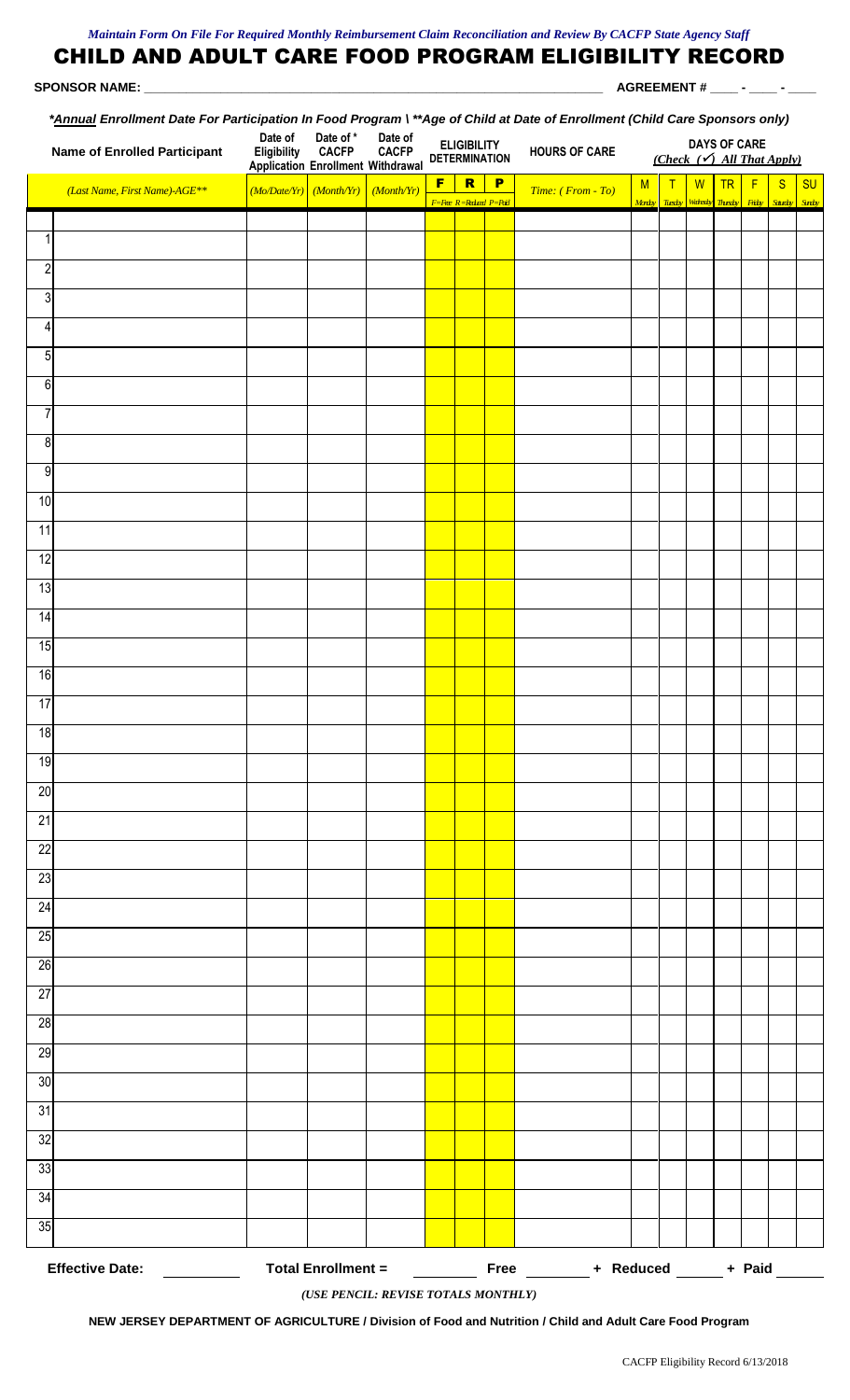## CHILD AND ADULT CARE FOOD PROGRAM ELIGIBILITY RECORD  **SPONSOR NAME: \_\_\_\_\_\_\_\_\_\_\_\_\_\_\_\_\_\_\_\_\_\_\_\_\_\_\_\_\_\_\_\_\_\_\_\_\_\_\_\_\_\_\_\_\_\_\_\_\_\_\_\_\_\_\_\_\_\_\_\_\_\_\_\_\_\_ AGREEMENT # \_\_\_\_ - \_\_\_\_ - \_\_\_\_** *\*Annual Enrollment Date For Participation In Food Program \ \*\*Age of Child at Date of Enrollment (Child Care Sponsors only)*

|                                                                                                     | <b>Name of Enrolled Participant</b> | Date of<br>Eligibility<br><b>Application Enrollment Withdrawal</b> | Date of *<br><b>CACFP</b> | Date of<br><b>CACFP</b> |   | <b>ELIGIBILITY</b><br><b>DETERMINATION</b>        |   | <b>HOURS OF CARE</b> | <u>Annual</u> Embinish Date Port antispation in Pour Togram Page of United Date of Embinish (United OpenSors Unit)<br><b>DAYS OF CARE</b><br>(Check $(\checkmark)$ All That Apply) |             |                     |           |                   |                   |             |
|-----------------------------------------------------------------------------------------------------|-------------------------------------|--------------------------------------------------------------------|---------------------------|-------------------------|---|---------------------------------------------------|---|----------------------|------------------------------------------------------------------------------------------------------------------------------------------------------------------------------------|-------------|---------------------|-----------|-------------------|-------------------|-------------|
|                                                                                                     | (Last Name, First Name)-AGE**       | $(Mo/Date/Yr)$ (Month/Yr)                                          |                           | (Month/Yr)              | F | $\overline{\mathbf{R}}$<br>F=Free R=Reducd P=Paid | P | Time: (From - To)    | M<br>Morty Tiesty                                                                                                                                                                  | $\mathsf T$ | W<br>Wairsky Thesky | <b>TR</b> | F<br><b>Fithy</b> | S<br><b>State</b> | SU<br>Sorty |
| $\mathbf{1}$                                                                                        |                                     |                                                                    |                           |                         |   |                                                   |   |                      |                                                                                                                                                                                    |             |                     |           |                   |                   |             |
| $\sqrt{2}$                                                                                          |                                     |                                                                    |                           |                         |   |                                                   |   |                      |                                                                                                                                                                                    |             |                     |           |                   |                   |             |
| $\sqrt{3}$                                                                                          |                                     |                                                                    |                           |                         |   |                                                   |   |                      |                                                                                                                                                                                    |             |                     |           |                   |                   |             |
| 4                                                                                                   |                                     |                                                                    |                           |                         |   |                                                   |   |                      |                                                                                                                                                                                    |             |                     |           |                   |                   |             |
| $\overline{5}$                                                                                      |                                     |                                                                    |                           |                         |   |                                                   |   |                      |                                                                                                                                                                                    |             |                     |           |                   |                   |             |
| $\,6\,$                                                                                             |                                     |                                                                    |                           |                         |   |                                                   |   |                      |                                                                                                                                                                                    |             |                     |           |                   |                   |             |
| $\overline{7}$                                                                                      |                                     |                                                                    |                           |                         |   |                                                   |   |                      |                                                                                                                                                                                    |             |                     |           |                   |                   |             |
| $\overline{8}$                                                                                      |                                     |                                                                    |                           |                         |   |                                                   |   |                      |                                                                                                                                                                                    |             |                     |           |                   |                   |             |
| $\overline{9}$                                                                                      |                                     |                                                                    |                           |                         |   |                                                   |   |                      |                                                                                                                                                                                    |             |                     |           |                   |                   |             |
| 10                                                                                                  |                                     |                                                                    |                           |                         |   |                                                   |   |                      |                                                                                                                                                                                    |             |                     |           |                   |                   |             |
| 11                                                                                                  |                                     |                                                                    |                           |                         |   |                                                   |   |                      |                                                                                                                                                                                    |             |                     |           |                   |                   |             |
| 12                                                                                                  |                                     |                                                                    |                           |                         |   |                                                   |   |                      |                                                                                                                                                                                    |             |                     |           |                   |                   |             |
| 13                                                                                                  |                                     |                                                                    |                           |                         |   |                                                   |   |                      |                                                                                                                                                                                    |             |                     |           |                   |                   |             |
| 14                                                                                                  |                                     |                                                                    |                           |                         |   |                                                   |   |                      |                                                                                                                                                                                    |             |                     |           |                   |                   |             |
| 15                                                                                                  |                                     |                                                                    |                           |                         |   |                                                   |   |                      |                                                                                                                                                                                    |             |                     |           |                   |                   |             |
| 16                                                                                                  |                                     |                                                                    |                           |                         |   |                                                   |   |                      |                                                                                                                                                                                    |             |                     |           |                   |                   |             |
| 17                                                                                                  |                                     |                                                                    |                           |                         |   |                                                   |   |                      |                                                                                                                                                                                    |             |                     |           |                   |                   |             |
| 18                                                                                                  |                                     |                                                                    |                           |                         |   |                                                   |   |                      |                                                                                                                                                                                    |             |                     |           |                   |                   |             |
| 19                                                                                                  |                                     |                                                                    |                           |                         |   |                                                   |   |                      |                                                                                                                                                                                    |             |                     |           |                   |                   |             |
| 20                                                                                                  |                                     |                                                                    |                           |                         |   |                                                   |   |                      |                                                                                                                                                                                    |             |                     |           |                   |                   |             |
| 21                                                                                                  |                                     |                                                                    |                           |                         |   |                                                   |   |                      |                                                                                                                                                                                    |             |                     |           |                   |                   |             |
| 22                                                                                                  |                                     |                                                                    |                           |                         |   |                                                   |   |                      |                                                                                                                                                                                    |             |                     |           |                   |                   |             |
| 23<br>24                                                                                            |                                     |                                                                    |                           |                         |   |                                                   |   |                      |                                                                                                                                                                                    |             |                     |           |                   |                   |             |
| 25                                                                                                  |                                     |                                                                    |                           |                         |   |                                                   |   |                      |                                                                                                                                                                                    |             |                     |           |                   |                   |             |
| 26                                                                                                  |                                     |                                                                    |                           |                         |   |                                                   |   |                      |                                                                                                                                                                                    |             |                     |           |                   |                   |             |
| $\overline{27}$                                                                                     |                                     |                                                                    |                           |                         |   |                                                   |   |                      |                                                                                                                                                                                    |             |                     |           |                   |                   |             |
| 28                                                                                                  |                                     |                                                                    |                           |                         |   |                                                   |   |                      |                                                                                                                                                                                    |             |                     |           |                   |                   |             |
| 29                                                                                                  |                                     |                                                                    |                           |                         |   |                                                   |   |                      |                                                                                                                                                                                    |             |                     |           |                   |                   |             |
| 30                                                                                                  |                                     |                                                                    |                           |                         |   |                                                   |   |                      |                                                                                                                                                                                    |             |                     |           |                   |                   |             |
| 31                                                                                                  |                                     |                                                                    |                           |                         |   |                                                   |   |                      |                                                                                                                                                                                    |             |                     |           |                   |                   |             |
| 32                                                                                                  |                                     |                                                                    |                           |                         |   |                                                   |   |                      |                                                                                                                                                                                    |             |                     |           |                   |                   |             |
| 33                                                                                                  |                                     |                                                                    |                           |                         |   |                                                   |   |                      |                                                                                                                                                                                    |             |                     |           |                   |                   |             |
| 34                                                                                                  |                                     |                                                                    |                           |                         |   |                                                   |   |                      |                                                                                                                                                                                    |             |                     |           |                   |                   |             |
| 35                                                                                                  |                                     |                                                                    |                           |                         |   |                                                   |   |                      |                                                                                                                                                                                    |             |                     |           |                   |                   |             |
| Free ________ + Reduced ______ + Paid ______<br><b>Effective Date:</b><br><b>Total Enrollment =</b> |                                     |                                                                    |                           |                         |   |                                                   |   |                      |                                                                                                                                                                                    |             |                     |           |                   |                   |             |

*(USE PENCIL: REVISE TOTALS MONTHLY)*

**NEW JERSEY DEPARTMENT OF AGRICULTURE / Division of Food and Nutrition / Child and Adult Care Food Program**